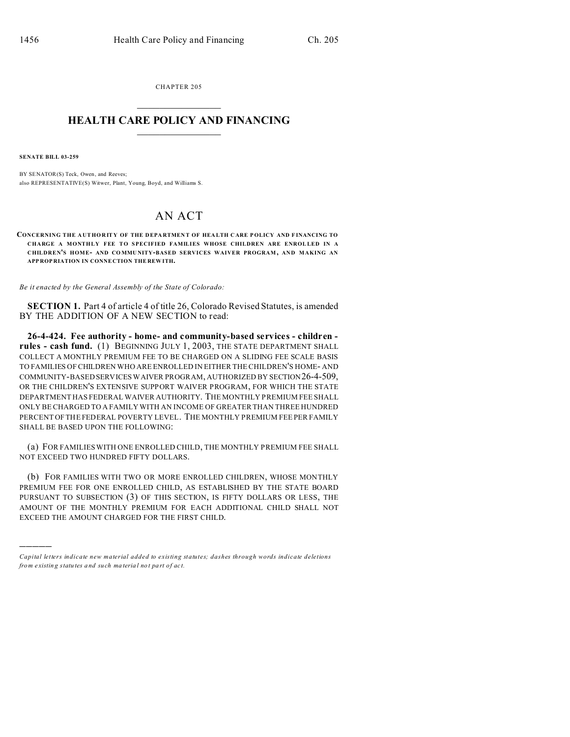CHAPTER 205  $\overline{\phantom{a}}$  , where  $\overline{\phantom{a}}$ 

## **HEALTH CARE POLICY AND FINANCING**  $\_$   $\_$   $\_$   $\_$   $\_$   $\_$   $\_$   $\_$

**SENATE BILL 03-259**

)))))

BY SENATOR(S) Teck, Owen, and Reeves; also REPRESENTATIVE(S) Witwer, Plant, Young, Boyd, and Williams S.

## AN ACT

**CONCERNING THE A UT HORITY OF THE D EPA RTMEN T OF HEA LTH C ARE P OLICY AND F INANCING TO CHARGE A MONTHLY FEE TO SPECIFIED FAMILIES WHOSE CHILDREN ARE ENROLLED IN A CHILDREN'S HOME- AND CO MMU NITY-BASED SERVICES WAIVER PROGRAM , AND MAKING AN APP ROP RIATION IN CONNE CTION THE REW ITH.**

*Be it enacted by the General Assembly of the State of Colorado:*

**SECTION 1.** Part 4 of article 4 of title 26, Colorado Revised Statutes, is amended BY THE ADDITION OF A NEW SECTION to read:

**26-4-424. Fee authority - home- and community-based services - children rules - cash fund.** (1) BEGINNING JULY 1, 2003, THE STATE DEPARTMENT SHALL COLLECT A MONTHLY PREMIUM FEE TO BE CHARGED ON A SLIDING FEE SCALE BASIS TO FAMILIES OF CHILDREN WHO ARE ENROLLED IN EITHER THE CHILDREN'S HOME- AND COMMUNITY-BASED SERVICES WAIVER PROGRAM, AUTHORIZED BY SECTION26-4-509, OR THE CHILDREN'S EXTENSIVE SUPPORT WAIVER PROGRAM, FOR WHICH THE STATE DEPARTMENT HAS FEDERAL WAIVER AUTHORITY. THE MONTHLY PREMIUM FEE SHALL ONLY BE CHARGED TO A FAMILY WITH AN INCOME OF GREATER THAN THREE HUNDRED PERCENT OF THE FEDERAL POVERTY LEVEL. THE MONTHLY PREMIUM FEE PER FAMILY SHALL BE BASED UPON THE FOLLOWING:

(a) FOR FAMILIES WITH ONE ENROLLED CHILD, THE MONTHLY PREMIUM FEE SHALL NOT EXCEED TWO HUNDRED FIFTY DOLLARS.

(b) FOR FAMILIES WITH TWO OR MORE ENROLLED CHILDREN, WHOSE MONTHLY PREMIUM FEE FOR ONE ENROLLED CHILD, AS ESTABLISHED BY THE STATE BOARD PURSUANT TO SUBSECTION (3) OF THIS SECTION, IS FIFTY DOLLARS OR LESS, THE AMOUNT OF THE MONTHLY PREMIUM FOR EACH ADDITIONAL CHILD SHALL NOT EXCEED THE AMOUNT CHARGED FOR THE FIRST CHILD.

*Capital letters indicate new material added to existing statutes; dashes through words indicate deletions from e xistin g statu tes a nd such ma teria l no t pa rt of ac t.*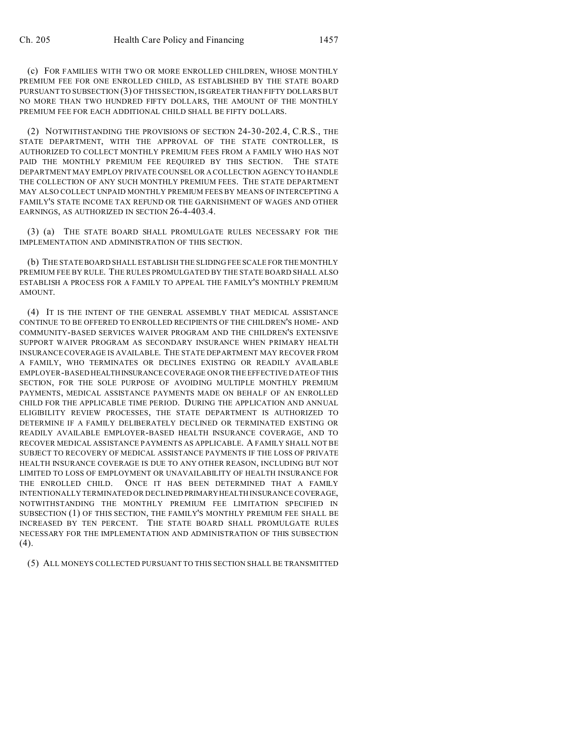(c) FOR FAMILIES WITH TWO OR MORE ENROLLED CHILDREN, WHOSE MONTHLY PREMIUM FEE FOR ONE ENROLLED CHILD, AS ESTABLISHED BY THE STATE BOARD PURSUANT TO SUBSECTION (3) OF THIS SECTION, IS GREATER THAN FIFTY DOLLARS BUT NO MORE THAN TWO HUNDRED FIFTY DOLLARS, THE AMOUNT OF THE MONTHLY PREMIUM FEE FOR EACH ADDITIONAL CHILD SHALL BE FIFTY DOLLARS.

(2) NOTWITHSTANDING THE PROVISIONS OF SECTION 24-30-202.4, C.R.S., THE STATE DEPARTMENT, WITH THE APPROVAL OF THE STATE CONTROLLER, IS AUTHORIZED TO COLLECT MONTHLY PREMIUM FEES FROM A FAMILY WHO HAS NOT PAID THE MONTHLY PREMIUM FEE REQUIRED BY THIS SECTION. THE STATE DEPARTMENT MAY EMPLOY PRIVATE COUNSEL OR A COLLECTION AGENCY TO HANDLE THE COLLECTION OF ANY SUCH MONTHLY PREMIUM FEES. THE STATE DEPARTMENT MAY ALSO COLLECT UNPAID MONTHLY PREMIUM FEES BY MEANS OF INTERCEPTING A FAMILY'S STATE INCOME TAX REFUND OR THE GARNISHMENT OF WAGES AND OTHER EARNINGS, AS AUTHORIZED IN SECTION 26-4-403.4.

(3) (a) THE STATE BOARD SHALL PROMULGATE RULES NECESSARY FOR THE IMPLEMENTATION AND ADMINISTRATION OF THIS SECTION.

(b) THE STATE BOARD SHALL ESTABLISH THE SLIDING FEE SCALE FOR THE MONTHLY PREMIUM FEE BY RULE. THE RULES PROMULGATED BY THE STATE BOARD SHALL ALSO ESTABLISH A PROCESS FOR A FAMILY TO APPEAL THE FAMILY'S MONTHLY PREMIUM AMOUNT.

(4) IT IS THE INTENT OF THE GENERAL ASSEMBLY THAT MEDICAL ASSISTANCE CONTINUE TO BE OFFERED TO ENROLLED RECIPIENTS OF THE CHILDREN'S HOME- AND COMMUNITY-BASED SERVICES WAIVER PROGRAM AND THE CHILDREN'S EXTENSIVE SUPPORT WAIVER PROGRAM AS SECONDARY INSURANCE WHEN PRIMARY HEALTH INSURANCE COVERAGE IS AVAILABLE. THE STATE DEPARTMENT MAY RECOVER FROM A FAMILY, WHO TERMINATES OR DECLINES EXISTING OR READILY AVAILABLE EMPLOYER-BASED HEALTHINSURANCE COVERAGE ON OR THE EFFECTIVE DATE OF THIS SECTION, FOR THE SOLE PURPOSE OF AVOIDING MULTIPLE MONTHLY PREMIUM PAYMENTS, MEDICAL ASSISTANCE PAYMENTS MADE ON BEHALF OF AN ENROLLED CHILD FOR THE APPLICABLE TIME PERIOD. DURING THE APPLICATION AND ANNUAL ELIGIBILITY REVIEW PROCESSES, THE STATE DEPARTMENT IS AUTHORIZED TO DETERMINE IF A FAMILY DELIBERATELY DECLINED OR TERMINATED EXISTING OR READILY AVAILABLE EMPLOYER-BASED HEALTH INSURANCE COVERAGE, AND TO RECOVER MEDICAL ASSISTANCE PAYMENTS AS APPLICABLE. A FAMILY SHALL NOT BE SUBJECT TO RECOVERY OF MEDICAL ASSISTANCE PAYMENTS IF THE LOSS OF PRIVATE HEALTH INSURANCE COVERAGE IS DUE TO ANY OTHER REASON, INCLUDING BUT NOT LIMITED TO LOSS OF EMPLOYMENT OR UNAVAILABILITY OF HEALTH INSURANCE FOR THE ENROLLED CHILD. ONCE IT HAS BEEN DETERMINED THAT A FAMILY INTENTIONALLY TERMINATED OR DECLINED PRIMARYHEALTH INSURANCE COVERAGE, NOTWITHSTANDING THE MONTHLY PREMIUM FEE LIMITATION SPECIFIED IN SUBSECTION (1) OF THIS SECTION, THE FAMILY'S MONTHLY PREMIUM FEE SHALL BE INCREASED BY TEN PERCENT. THE STATE BOARD SHALL PROMULGATE RULES NECESSARY FOR THE IMPLEMENTATION AND ADMINISTRATION OF THIS SUBSECTION (4).

(5) ALL MONEYS COLLECTED PURSUANT TO THIS SECTION SHALL BE TRANSMITTED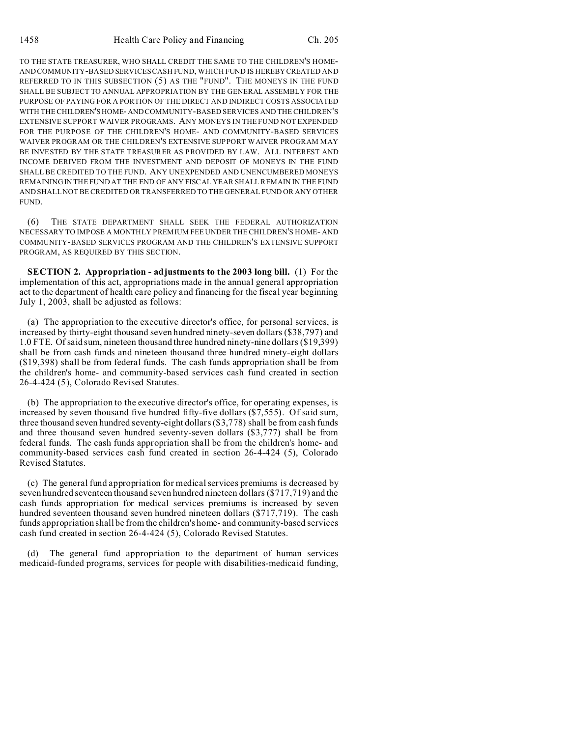TO THE STATE TREASURER, WHO SHALL CREDIT THE SAME TO THE CHILDREN'S HOME-AND COMMUNITY-BASED SERVICES CASH FUND, WHICH FUND IS HEREBY CREATED AND REFERRED TO IN THIS SUBSECTION (5) AS THE "FUND". THE MONEYS IN THE FUND SHALL BE SUBJECT TO ANNUAL APPROPRIATION BY THE GENERAL ASSEMBLY FOR THE PURPOSE OF PAYING FOR A PORTION OF THE DIRECT AND INDIRECT COSTS ASSOCIATED WITH THE CHILDREN'SHOME- AND COMMUNITY-BASED SERVICES AND THE CHILDREN'S EXTENSIVE SUPPORT WAIVER PROGRAMS. ANY MONEYS IN THE FUND NOT EXPENDED FOR THE PURPOSE OF THE CHILDREN'S HOME- AND COMMUNITY-BASED SERVICES WAIVER PROGRAM OR THE CHILDREN'S EXTENSIVE SUPPORT WAIVER PROGRAM MAY BE INVESTED BY THE STATE TREASURER AS PROVIDED BY LAW. ALL INTEREST AND INCOME DERIVED FROM THE INVESTMENT AND DEPOSIT OF MONEYS IN THE FUND SHALL BE CREDITED TO THE FUND. ANY UNEXPENDED AND UNENCUMBERED MONEYS REMAINING IN THE FUND AT THE END OF ANY FISCAL YEAR SHALL REMAIN IN THE FUND AND SHALL NOT BE CREDITED OR TRANSFERRED TO THE GENERAL FUND OR ANY OTHER FUND.

(6) THE STATE DEPARTMENT SHALL SEEK THE FEDERAL AUTHORIZATION NECESSARY TO IMPOSE A MONTHLY PREMIUM FEE UNDER THE CHILDREN'S HOME- AND COMMUNITY-BASED SERVICES PROGRAM AND THE CHILDREN'S EXTENSIVE SUPPORT PROGRAM, AS REQUIRED BY THIS SECTION.

**SECTION 2. Appropriation - adjustments to the 2003 long bill.** (1) For the implementation of this act, appropriations made in the annual general appropriation act to the department of health care policy and financing for the fiscal year beginning July 1, 2003, shall be adjusted as follows:

(a) The appropriation to the executive director's office, for personal services, is increased by thirty-eight thousand seven hundred ninety-seven dollars (\$38,797) and 1.0 FTE. Of said sum, nineteen thousand three hundred ninety-nine dollars (\$19,399) shall be from cash funds and nineteen thousand three hundred ninety-eight dollars (\$19,398) shall be from federal funds. The cash funds appropriation shall be from the children's home- and community-based services cash fund created in section 26-4-424 (5), Colorado Revised Statutes.

(b) The appropriation to the executive director's office, for operating expenses, is increased by seven thousand five hundred fifty-five dollars (\$7,555). Of said sum, three thousand seven hundred seventy-eight dollars (\$3,778) shall be from cash funds and three thousand seven hundred seventy-seven dollars (\$3,777) shall be from federal funds. The cash funds appropriation shall be from the children's home- and community-based services cash fund created in section 26-4-424 (5), Colorado Revised Statutes.

(c) The general fund appropriation for medical services premiums is decreased by seven hundred seventeen thousand seven hundred nineteen dollars (\$717,719) and the cash funds appropriation for medical services premiums is increased by seven hundred seventeen thousand seven hundred nineteen dollars (\$717,719). The cash funds appropriation shall be from the children's home- and community-based services cash fund created in section 26-4-424 (5), Colorado Revised Statutes.

(d) The general fund appropriation to the department of human services medicaid-funded programs, services for people with disabilities-medicaid funding,